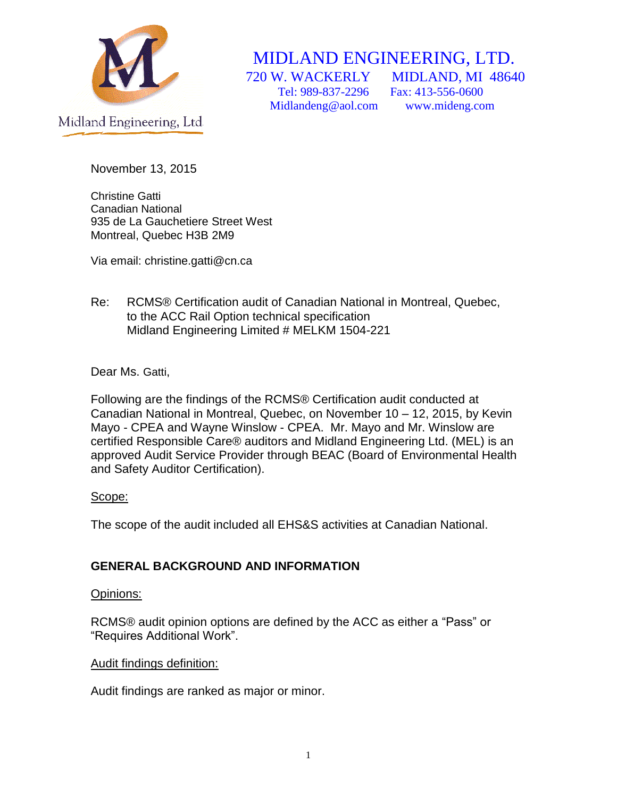

# MIDLAND ENGINEERING, LTD.

 Tel: 989-837-2296 Fax: 413-556-0600 Midlandeng@aol.com www.mideng.com

720 W. WACKERLY MIDLAND, MI 48640

November 13, 2015

Christine Gatti Canadian National 935 de La Gauchetiere Street West Montreal, Quebec H3B 2M9

Via email: christine.gatti@cn.ca

Re: RCMS® Certification audit of Canadian National in Montreal, Quebec, to the ACC Rail Option technical specification Midland Engineering Limited # MELKM 1504-221

Dear Ms. Gatti,

Following are the findings of the RCMS® Certification audit conducted at Canadian National in Montreal, Quebec, on November 10 – 12, 2015, by Kevin Mayo - CPEA and Wayne Winslow - CPEA. Mr. Mayo and Mr. Winslow are certified Responsible Care® auditors and Midland Engineering Ltd. (MEL) is an approved Audit Service Provider through BEAC (Board of Environmental Health and Safety Auditor Certification).

## Scope:

The scope of the audit included all EHS&S activities at Canadian National.

## **GENERAL BACKGROUND AND INFORMATION**

## Opinions:

RCMS® audit opinion options are defined by the ACC as either a "Pass" or "Requires Additional Work".

## Audit findings definition:

Audit findings are ranked as major or minor.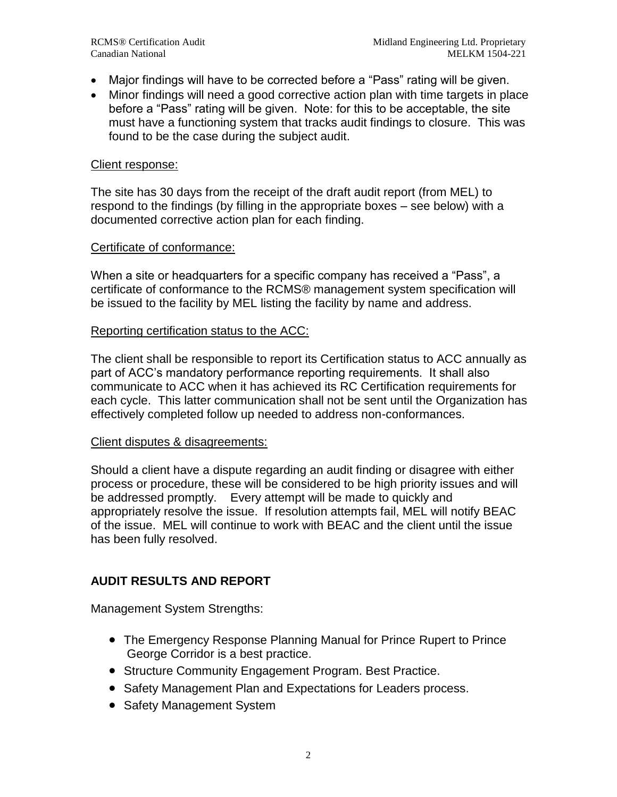- Major findings will have to be corrected before a "Pass" rating will be given.
- Minor findings will need a good corrective action plan with time targets in place before a "Pass" rating will be given. Note: for this to be acceptable, the site must have a functioning system that tracks audit findings to closure. This was found to be the case during the subject audit.

#### Client response:

The site has 30 days from the receipt of the draft audit report (from MEL) to respond to the findings (by filling in the appropriate boxes – see below) with a documented corrective action plan for each finding.

#### Certificate of conformance:

When a site or headquarters for a specific company has received a "Pass", a certificate of conformance to the RCMS® management system specification will be issued to the facility by MEL listing the facility by name and address.

#### Reporting certification status to the ACC:

The client shall be responsible to report its Certification status to ACC annually as part of ACC's mandatory performance reporting requirements. It shall also communicate to ACC when it has achieved its RC Certification requirements for each cycle. This latter communication shall not be sent until the Organization has effectively completed follow up needed to address non-conformances.

#### Client disputes & disagreements:

Should a client have a dispute regarding an audit finding or disagree with either process or procedure, these will be considered to be high priority issues and will be addressed promptly. Every attempt will be made to quickly and appropriately resolve the issue. If resolution attempts fail, MEL will notify BEAC of the issue. MEL will continue to work with BEAC and the client until the issue has been fully resolved.

#### **AUDIT RESULTS AND REPORT**

Management System Strengths:

- The Emergency Response Planning Manual for Prince Rupert to Prince George Corridor is a best practice.
- Structure Community Engagement Program. Best Practice.
- Safety Management Plan and Expectations for Leaders process.
- Safety Management System